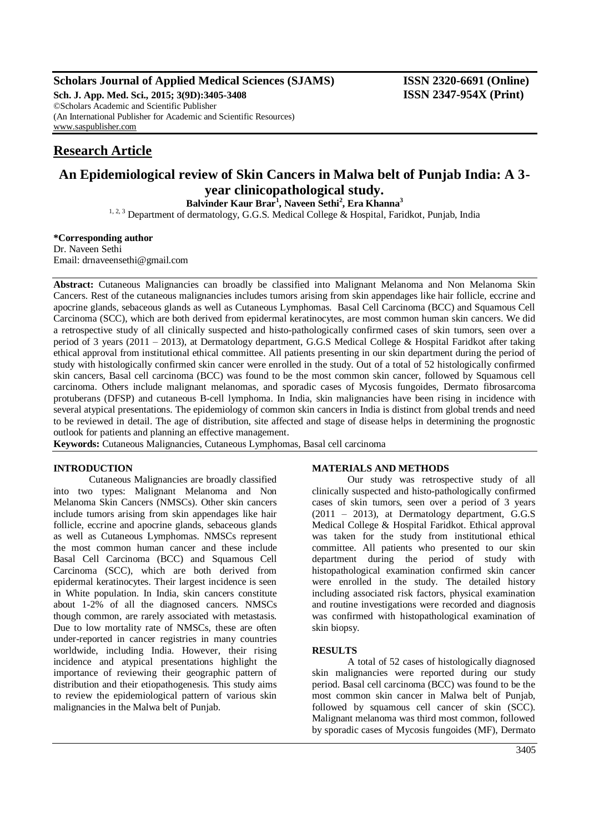## **Scholars Journal of Applied Medical Sciences (SJAMS) ISSN 2320-6691 (Online)**

**Sch. J. App. Med. Sci., 2015; 3(9D):3405-3408 ISSN 2347-954X (Print)** ©Scholars Academic and Scientific Publisher (An International Publisher for Academic and Scientific Resources) [www.saspublisher.com](http://www.saspublisher.com/)

# **Research Article**

# **An Epidemiological review of Skin Cancers in Malwa belt of Punjab India: A 3 year clinicopathological study.**

**Balvinder Kaur Brar<sup>1</sup> , Naveen Sethi<sup>2</sup> , Era Khanna<sup>3</sup>**

<sup>1, 2, 3</sup> Department of dermatology, G.G.S. Medical College & Hospital, Faridkot, Punjab, India

### **\*Corresponding author**

Dr. Naveen Sethi Email: drnaveensethi@gmail.com

**Abstract:** Cutaneous Malignancies can broadly be classified into Malignant Melanoma and Non Melanoma Skin Cancers. Rest of the cutaneous malignancies includes tumors arising from skin appendages like hair follicle, eccrine and apocrine glands, sebaceous glands as well as Cutaneous Lymphomas. Basal Cell Carcinoma (BCC) and Squamous Cell Carcinoma (SCC), which are both derived from epidermal keratinocytes, are most common human skin cancers. We did a retrospective study of all clinically suspected and histo-pathologically confirmed cases of skin tumors, seen over a period of 3 years (2011 – 2013), at Dermatology department, G.G.S Medical College & Hospital Faridkot after taking ethical approval from institutional ethical committee. All patients presenting in our skin department during the period of study with histologically confirmed skin cancer were enrolled in the study. Out of a total of 52 histologically confirmed skin cancers, Basal cell carcinoma (BCC) was found to be the most common skin cancer, followed by Squamous cell carcinoma. Others include malignant melanomas, and sporadic cases of Mycosis fungoides, Dermato fibrosarcoma protuberans (DFSP) and cutaneous B-cell lymphoma. In India, skin malignancies have been rising in incidence with several atypical presentations. The epidemiology of common skin cancers in India is distinct from global trends and need to be reviewed in detail. The age of distribution, site affected and stage of disease helps in determining the prognostic outlook for patients and planning an effective management.

**Keywords:** Cutaneous Malignancies, Cutaneous Lymphomas, Basal cell carcinoma

## **INTRODUCTION**

Cutaneous Malignancies are broadly classified into two types: Malignant Melanoma and Non Melanoma Skin Cancers (NMSCs). Other skin cancers include tumors arising from skin appendages like hair follicle, eccrine and apocrine glands, sebaceous glands as well as Cutaneous Lymphomas. NMSCs represent the most common human cancer and these include Basal Cell Carcinoma (BCC) and Squamous Cell Carcinoma (SCC), which are both derived from epidermal keratinocytes. Their largest incidence is seen in White population. In India, skin cancers constitute about 1-2% of all the diagnosed cancers. NMSCs though common, are rarely associated with metastasis. Due to low mortality rate of NMSCs, these are often under-reported in cancer registries in many countries worldwide, including India. However, their rising incidence and atypical presentations highlight the importance of reviewing their geographic pattern of distribution and their etiopathogenesis. This study aims to review the epidemiological pattern of various skin malignancies in the Malwa belt of Punjab.

## **MATERIALS AND METHODS**

Our study was retrospective study of all clinically suspected and histo-pathologically confirmed cases of skin tumors, seen over a period of 3 years (2011 – 2013), at Dermatology department, G.G.S Medical College & Hospital Faridkot. Ethical approval was taken for the study from institutional ethical committee. All patients who presented to our skin department during the period of study with histopathological examination confirmed skin cancer were enrolled in the study. The detailed history including associated risk factors, physical examination and routine investigations were recorded and diagnosis was confirmed with histopathological examination of skin biopsy.

#### **RESULTS**

A total of 52 cases of histologically diagnosed skin malignancies were reported during our study period. Basal cell carcinoma (BCC) was found to be the most common skin cancer in Malwa belt of Punjab, followed by squamous cell cancer of skin (SCC). Malignant melanoma was third most common, followed by sporadic cases of Mycosis fungoides (MF), Dermato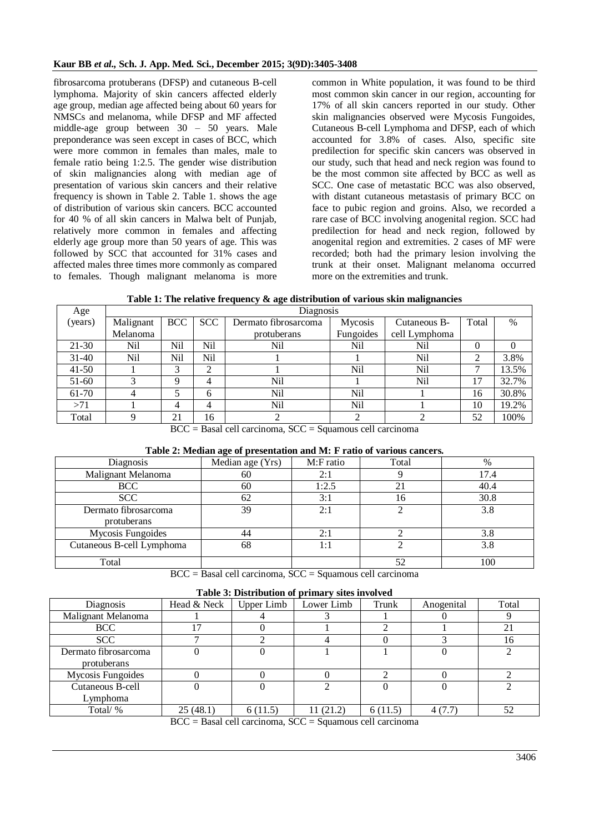fibrosarcoma protuberans (DFSP) and cutaneous B-cell lymphoma. Majority of skin cancers affected elderly age group, median age affected being about 60 years for NMSCs and melanoma, while DFSP and MF affected middle-age group between 30 – 50 years. Male preponderance was seen except in cases of BCC, which were more common in females than males, male to female ratio being 1:2.5. The gender wise distribution of skin malignancies along with median age of presentation of various skin cancers and their relative frequency is shown in Table 2. Table 1. shows the age of distribution of various skin cancers. BCC accounted for 40 % of all skin cancers in Malwa belt of Punjab, relatively more common in females and affecting elderly age group more than 50 years of age. This was followed by SCC that accounted for 31% cases and affected males three times more commonly as compared to females. Though malignant melanoma is more

common in White population, it was found to be third most common skin cancer in our region, accounting for 17% of all skin cancers reported in our study. Other skin malignancies observed were Mycosis Fungoides, Cutaneous B-cell Lymphoma and DFSP, each of which accounted for 3.8% of cases. Also, specific site predilection for specific skin cancers was observed in our study, such that head and neck region was found to be the most common site affected by BCC as well as SCC. One case of metastatic BCC was also observed, with distant cutaneous metastasis of primary BCC on face to pubic region and groins. Also, we recorded a rare case of BCC involving anogenital region. SCC had predilection for head and neck region, followed by anogenital region and extremities. 2 cases of MF were recorded; both had the primary lesion involving the trunk at their onset. Malignant melanoma occurred more on the extremities and trunk.

**Table 1: The relative frequency & age distribution of various skin malignancies**

| Age     | Diagnosis |            |            |                      |           |               |       |       |
|---------|-----------|------------|------------|----------------------|-----------|---------------|-------|-------|
| (years) | Malignant | <b>BCC</b> | <b>SCC</b> | Dermato fibrosarcoma | Mycosis   | Cutaneous B-  | Total | $\%$  |
|         | Melanoma  |            |            | protuberans          | Fungoides | cell Lymphoma |       |       |
| 21-30   | Nil       | Nil        | Nil        | Nil                  | Nil       | Nil           | 0     |       |
| $31-40$ | Nil       | Nil        | Nil        |                      |           | Nil           | ◠     | 3.8%  |
| $41-50$ |           | 2          | ◠          |                      | Nil       | Nil           |       | 13.5% |
| $51-60$ |           | Q          | 4          | Nil                  |           | Nil           | 17    | 32.7% |
| 61-70   |           |            | 6          | Nil                  | Nil       |               | 16    | 30.8% |
| >71     |           | 4          | 4          | Nil                  | Nil       |               | 10    | 19.2% |
| Total   |           | 21         | 16         |                      |           |               | 52    | 100%  |

BCC = Basal cell carcinoma, SCC = Squamous cell carcinoma

## **Table 2: Median age of presentation and M: F ratio of various cancers.**

| Diagnosis                 | Median age (Yrs) | M:F ratio | Total | $\%$ |
|---------------------------|------------------|-----------|-------|------|
| Malignant Melanoma        | 60               | 2:1       |       | 17.4 |
| <b>BCC</b>                | 60               | 1:2.5     | 21    | 40.4 |
| <b>SCC</b>                | 62               | 3:1       | 16    | 30.8 |
| Dermato fibrosarcoma      | 39               | 2:1       |       | 3.8  |
| protuberans               |                  |           |       |      |
| Mycosis Fungoides         |                  | 2:1       |       | 3.8  |
| Cutaneous B-cell Lymphoma | 68               | 1:1       |       | 3.8  |
|                           |                  |           |       |      |
| Total                     |                  |           | 52    | 100  |

 $BCC = Basal cell carcinoma, SCC = Squamous cell carcinoma$ 

|  | Table 3: Distribution of primary sites involved |  |
|--|-------------------------------------------------|--|
|  |                                                 |  |

| Tuble of Distribution of primary sites involved |             |            |            |         |            |       |  |
|-------------------------------------------------|-------------|------------|------------|---------|------------|-------|--|
| Diagnosis                                       | Head & Neck | Upper Limb | Lower Limb | Trunk   | Anogenital | Total |  |
| Malignant Melanoma                              |             |            |            |         |            |       |  |
| <b>BCC</b>                                      | 17          |            |            |         |            | 21    |  |
| <b>SCC</b>                                      |             |            |            |         |            | 16    |  |
| Dermato fibrosarcoma                            |             |            |            |         |            |       |  |
| protuberans                                     |             |            |            |         |            |       |  |
| Mycosis Fungoides                               |             |            |            |         |            |       |  |
| Cutaneous B-cell                                |             |            |            |         |            |       |  |
| Lymphoma                                        |             |            |            |         |            |       |  |
| Total/%                                         | 25(48.1)    | 6(11.5)    | 11 (21.2)  | 6(11.5) | 4(7.7)     | 52    |  |
| ---<br>$\sim$ $\sim$ $\sim$<br>. .<br>$\sim$    |             |            |            |         |            |       |  |

 $BCC = Basal cell carcinoma, SCC = Squamous cell carcinoma$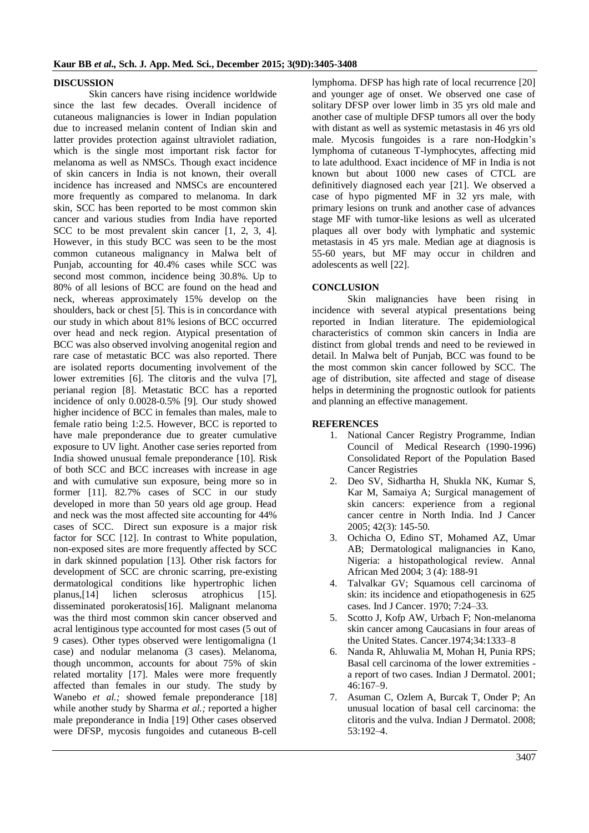#### **DISCUSSION**

Skin cancers have rising incidence worldwide since the last few decades. Overall incidence of cutaneous malignancies is lower in Indian population due to increased melanin content of Indian skin and latter provides protection against ultraviolet radiation, which is the single most important risk factor for melanoma as well as NMSCs. Though exact incidence of skin cancers in India is not known, their overall incidence has increased and NMSCs are encountered more frequently as compared to melanoma. In dark skin, SCC has been reported to be most common skin cancer and various studies from India have reported SCC to be most prevalent skin cancer [1, 2, 3, 4]. However, in this study BCC was seen to be the most common cutaneous malignancy in Malwa belt of Punjab, accounting for 40.4% cases while SCC was second most common, incidence being 30.8%. Up to 80% of all lesions of BCC are found on the head and neck, whereas approximately 15% develop on the shoulders, back or chest [5]. This is in concordance with our study in which about 81% lesions of BCC occurred over head and neck region. Atypical presentation of BCC was also observed involving anogenital region and rare case of metastatic BCC was also reported. There are isolated reports documenting involvement of the lower extremities [\[6\]](http://www.ncbi.nlm.nih.gov/pmc/articles/PMC3051301/#ref67). The clitoris and the vulva [7], perianal region [8]. Metastatic BCC has a reported incidence of only 0.0028-0.5% [9]. Our study showed higher incidence of BCC in females than males, male to female ratio being 1:2.5. However, BCC is reported to have male preponderance due to greater cumulative exposure to UV light. Another case series reported from India showed unusual female preponderance [10]. Risk of both SCC and BCC increases with increase in age and with cumulative sun exposure, being more so in former [11]. 82.7% cases of SCC in our study developed in more than 50 years old age group. Head and neck was the most affected site accounting for 44% cases of SCC. Direct sun exposure is a major risk factor for SCC [12]. In contrast to White population, non-exposed sites are more frequently affected by SCC in dark skinned population [13]. Other risk factors for development of SCC are chronic scarring, pre-existing dermatological conditions like hypertrophic lichen planus,[14] lichen sclerosus atrophicus [15]. disseminated porokeratosis[16]. Malignant melanoma was the third most common skin cancer observed and acral lentiginous type accounted for most cases (5 out of 9 cases). Other types observed were lentigomaligna (1 case) and nodular melanoma (3 cases). Melanoma, though uncommon, accounts for about 75% of skin related mortality [17]. Males were more frequently affected than females in our study. The study by Wanebo *et al.*; showed female preponderance [18] while another study by Sharma *et al.;* reported a higher male preponderance in India [19] Other cases observed were DFSP, mycosis fungoides and cutaneous B-cell

lymphoma. DFSP has high rate of local recurrence [20] and younger age of onset. We observed one case of solitary DFSP over lower limb in 35 yrs old male and another case of multiple DFSP tumors all over the body with distant as well as systemic metastasis in 46 yrs old male. Mycosis fungoides is a rare non-Hodgkin's lymphoma of cutaneous T-lymphocytes, affecting mid to late adulthood. Exact incidence of MF in India is not known but about 1000 new cases of CTCL are definitively diagnosed each year [21]. We observed a case of hypo pigmented MF in 32 yrs male, with primary lesions on trunk and another case of advances stage MF with tumor-like lesions as well as ulcerated plaques all over body with lymphatic and systemic metastasis in 45 yrs male. Median age at diagnosis is 55-60 years, but MF may occur in children and adolescents as well [22].

### **CONCLUSION**

Skin malignancies have been rising in incidence with several atypical presentations being reported in Indian literature. The epidemiological characteristics of common skin cancers in India are distinct from global trends and need to be reviewed in detail. In Malwa belt of Punjab, BCC was found to be the most common skin cancer followed by SCC. The age of distribution, site affected and stage of disease helps in determining the prognostic outlook for patients and planning an effective management.

## **REFERENCES**

- 1. National Cancer Registry Programme, Indian Council of Medical Research (1990-1996) Consolidated Report of the Population Based Cancer Registries
- 2. Deo SV, Sidhartha H, Shukla NK, Kumar S, Kar M, Samaiya A; Surgical management of skin cancers: experience from a regional cancer centre in North India. Ind J Cancer 2005; 42(3): 145-50.
- 3. Ochicha O, Edino ST, Mohamed AZ, Umar AB; Dermatological malignancies in Kano, Nigeria: a histopathological review. Annal African Med 2004; 3 (4): 188-91
- 4. Talvalkar GV; Squamous cell carcinoma of skin: its incidence and etiopathogenesis in 625 cases. Ind J Cancer. 1970; 7:24–33.
- 5. Scotto J, Kofp AW, Urbach F; Non-melanoma skin cancer among Caucasians in four areas of the United States. Cancer.1974;34:1333–8
- 6. Nanda R, Ahluwalia M, Mohan H, Punia RPS; Basal cell carcinoma of the lower extremities a report of two cases. Indian J Dermatol. 2001; 46:167–9.
- 7. Asuman C, Ozlem A, Burcak T, Onder P; An unusual location of basal cell carcinoma: the clitoris and the vulva. Indian J Dermatol. 2008; 53:192–4.